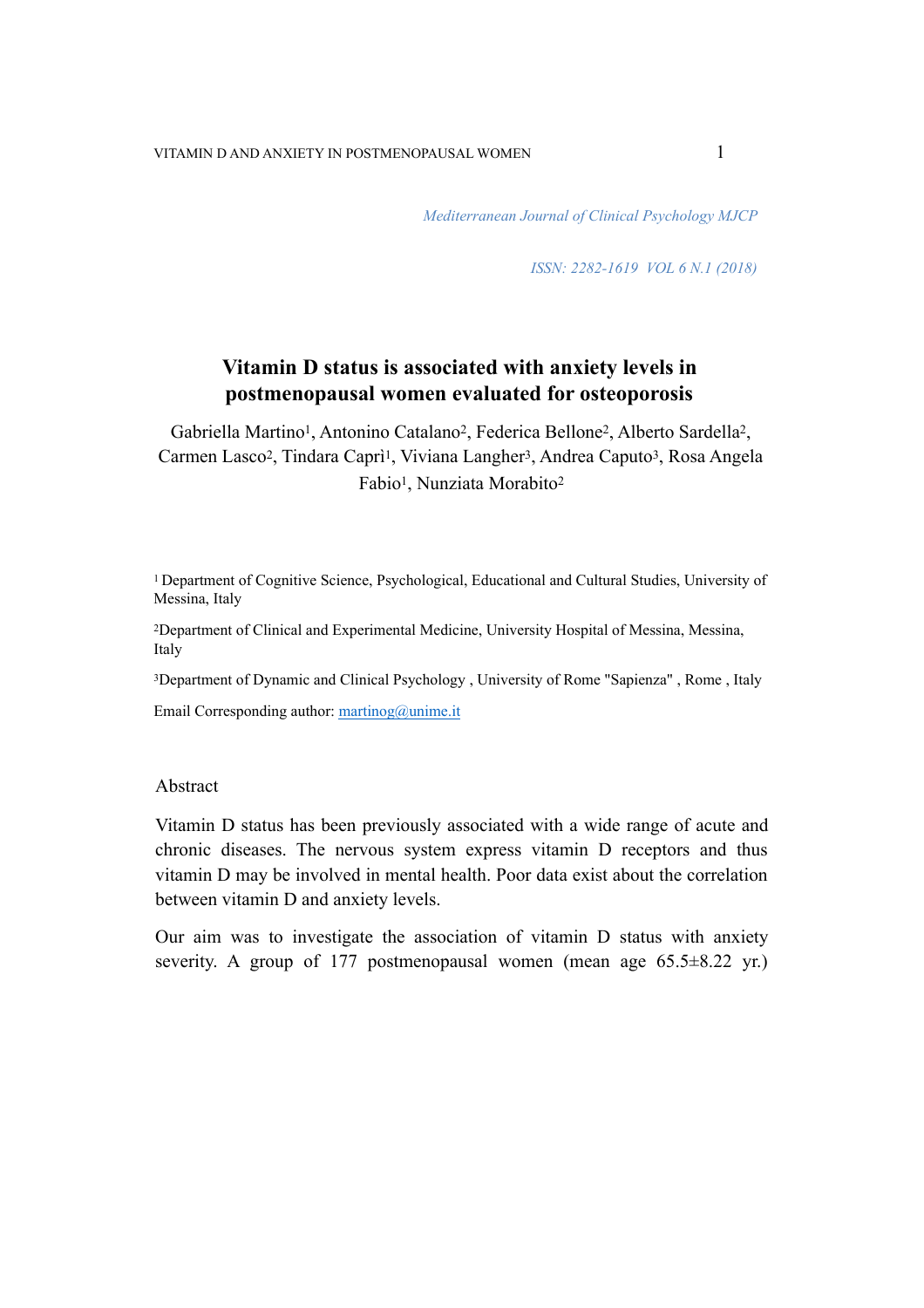*Mediterranean Journal of Clinical Psychology MJCP* 

*ISSN: 2282-1619 VOL 6 N.1 (2018)* 

# **Vitamin D status is associated with anxiety levels in postmenopausal women evaluated for osteoporosis**

Gabriella Martino1, Antonino Catalano2, Federica Bellone2, Alberto Sardella2, Carmen Lasco<sup>2</sup>, Tindara Caprì<sup>1</sup>, Viviana Langher<sup>3</sup>, Andrea Caputo<sup>3</sup>, Rosa Angela Fabio1, Nunziata Morabito2

1 Department of Cognitive Science, Psychological, Educational and Cultural Studies, University of Messina, Italy

2Department of Clinical and Experimental Medicine, University Hospital of Messina, Messina, Italy

3Department of Dynamic and Clinical Psychology , University of Rome "Sapienza" , Rome , Italy

Email Corresponding author:  $martinog@unime.it$ 

#### Abstract

Vitamin D status has been previously associated with a wide range of acute and chronic diseases. The nervous system express vitamin D receptors and thus vitamin D may be involved in mental health. Poor data exist about the correlation between vitamin D and anxiety levels.

Our aim was to investigate the association of vitamin D status with anxiety severity. A group of 177 postmenopausal women (mean age 65.5 $\pm$ 8.22 yr.)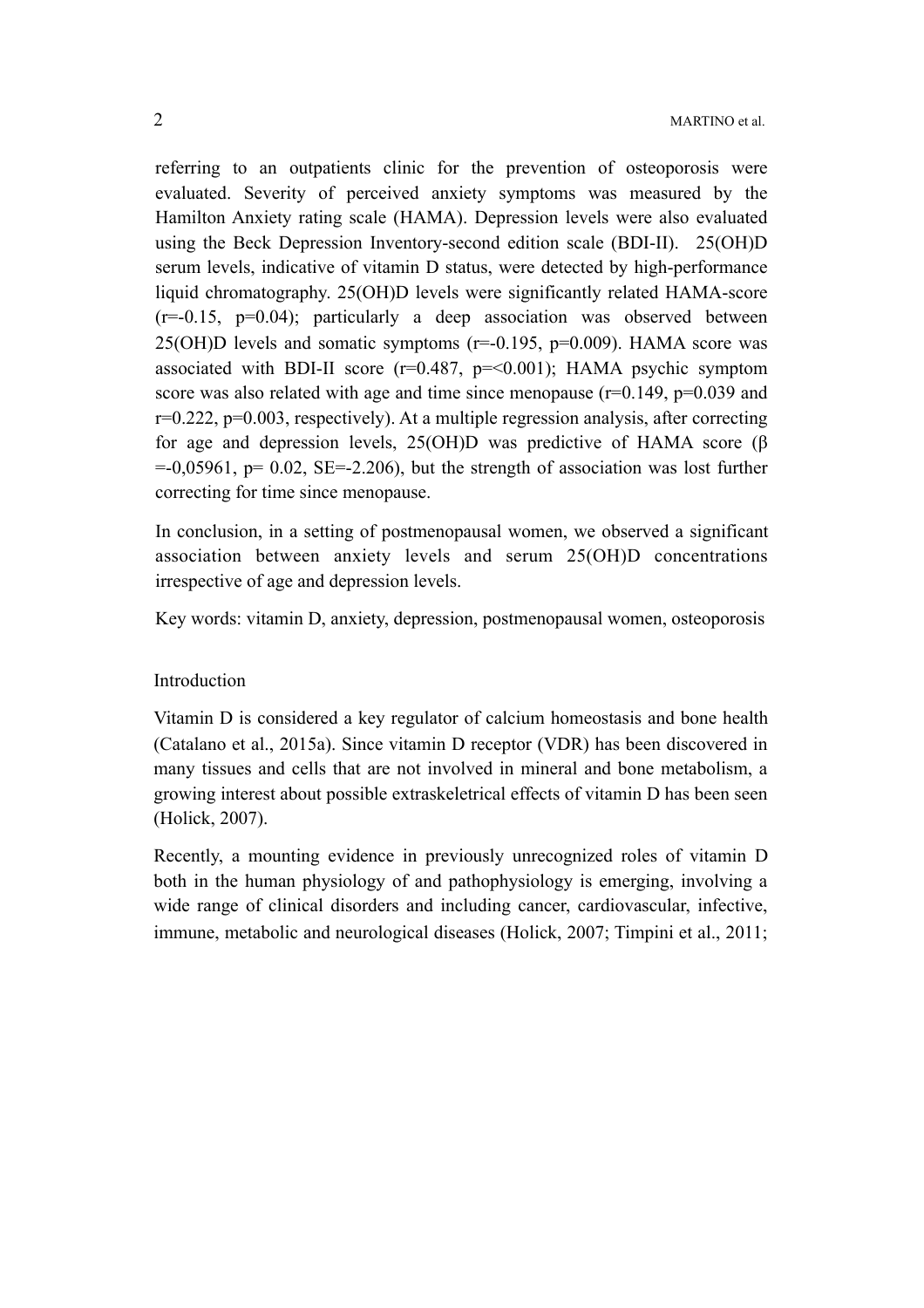referring to an outpatients clinic for the prevention of osteoporosis were evaluated. Severity of perceived anxiety symptoms was measured by the Hamilton Anxiety rating scale (HAMA). Depression levels were also evaluated using the Beck Depression Inventory-second edition scale (BDI-II). 25(OH)D serum levels, indicative of vitamin D status, were detected by high-performance liquid chromatography. 25(OH)D levels were significantly related HAMA-score  $(r=-0.15, p=0.04)$ ; particularly a deep association was observed between 25(OH)D levels and somatic symptoms  $(r=0.195, p=0.009)$ . HAMA score was associated with BDI-II score  $(r=0.487, p=<0.001)$ ; HAMA psychic symptom score was also related with age and time since menopause  $(r=0.149, p=0.039)$  and r=0.222, p=0.003, respectively). At a multiple regression analysis, after correcting for age and depression levels, 25(OH)D was predictive of HAMA score (β  $=0.05961$ , p= 0.02, SE=-2.206), but the strength of association was lost further correcting for time since menopause.

In conclusion, in a setting of postmenopausal women, we observed a significant association between anxiety levels and serum 25(OH)D concentrations irrespective of age and depression levels.

Key words: vitamin D, anxiety, depression, postmenopausal women, osteoporosis

### **Introduction**

Vitamin D is considered a key regulator of calcium homeostasis and bone health (Catalano et al., 2015a). Since vitamin D receptor (VDR) has been discovered in many tissues and cells that are not involved in mineral and bone metabolism, a growing interest about possible extraskeletrical effects of vitamin D has been seen (Holick, 2007).

Recently, a mounting evidence in previously unrecognized roles of vitamin D both in the human physiology of and pathophysiology is emerging, involving a wide range of clinical disorders and including cancer, cardiovascular, infective, immune, metabolic and neurological diseases (Holick, 2007; Timpini et al., 2011;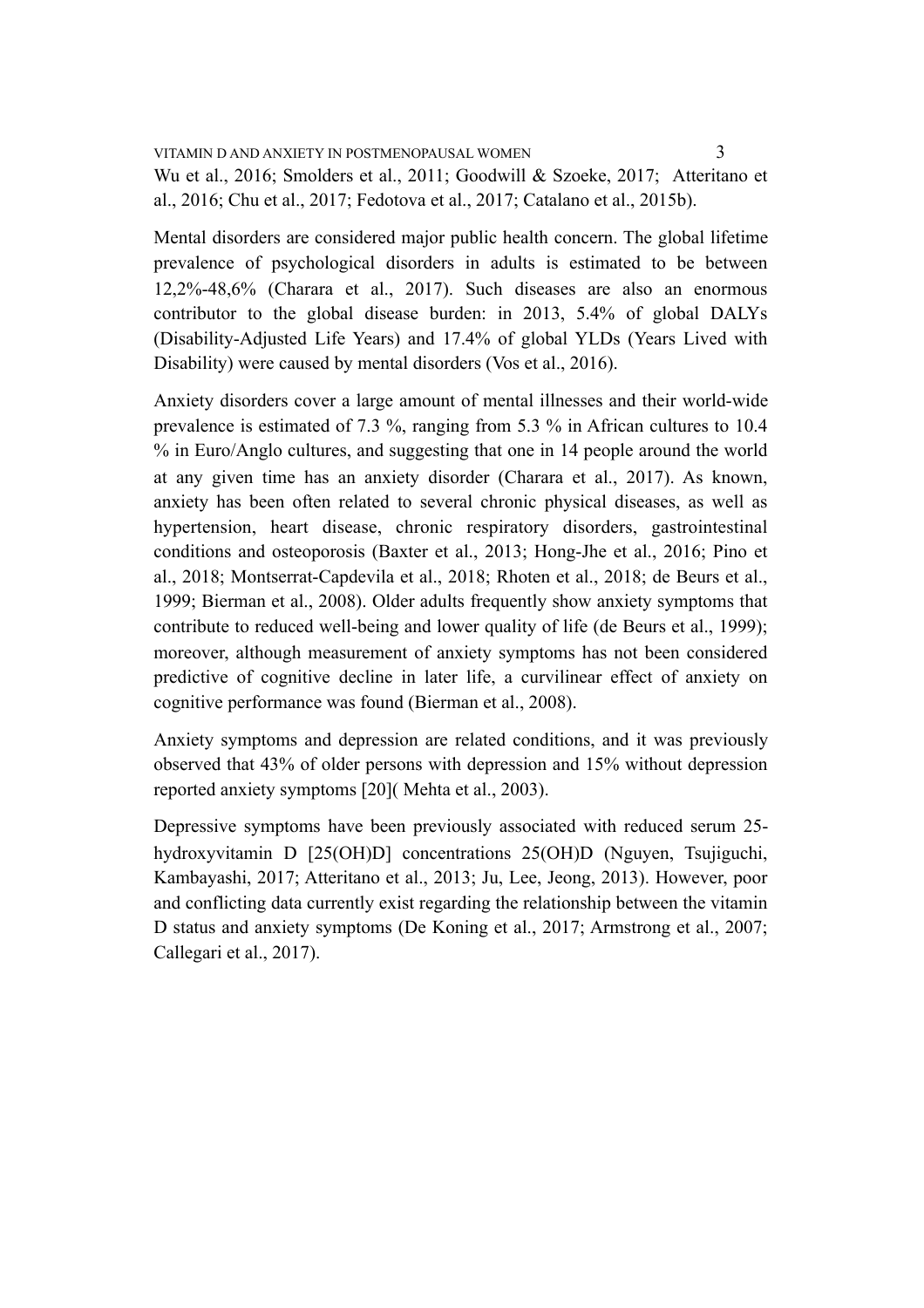Mental disorders are considered major public health concern. The global lifetime prevalence of psychological disorders in adults is estimated to be between 12,2%-48,6% (Charara et al., 2017). Such diseases are also an enormous contributor to the global disease burden: in 2013, 5.4% of global DALYs (Disability-Adjusted Life Years) and 17.4% of global YLDs (Years Lived with Disability) were caused by mental disorders (Vos et al., 2016).

Anxiety disorders cover a large amount of mental illnesses and their world-wide prevalence is estimated of 7.3 %, ranging from 5.3 % in African cultures to 10.4 % in Euro/Anglo cultures, and suggesting that one in 14 people around the world at any given time has an anxiety disorder (Charara et al., 2017). As known, anxiety has been often related to several chronic physical diseases, as well as hypertension, heart disease, chronic respiratory disorders, gastrointestinal conditions and osteoporosis (Baxter et al., 2013; Hong-Jhe et al., 2016; Pino et al., 2018; Montserrat-Capdevila et al., 2018; Rhoten et al., 2018; de Beurs et al., 1999; Bierman et al., 2008). Older adults frequently show anxiety symptoms that contribute to reduced well-being and lower quality of life (de Beurs et al., 1999); moreover, although measurement of anxiety symptoms has not been considered predictive of cognitive decline in later life, a curvilinear effect of anxiety on cognitive performance was found (Bierman et al., 2008).

Anxiety symptoms and depression are related conditions, and it was previously observed that 43% of older persons with depression and 15% without depression reported anxiety symptoms [20]( Mehta et al., 2003).

Depressive symptoms have been previously associated with reduced serum 25 hydroxyvitamin D [25(OH)D] concentrations 25(OH)D (Nguyen, Tsujiguchi, Kambayashi, 2017; Atteritano et al., 2013; Ju, Lee, Jeong, 2013). However, poor and conflicting data currently exist regarding the relationship between the vitamin D status and anxiety symptoms (De Koning et al., 2017; Armstrong et al., 2007; Callegari et al., 2017).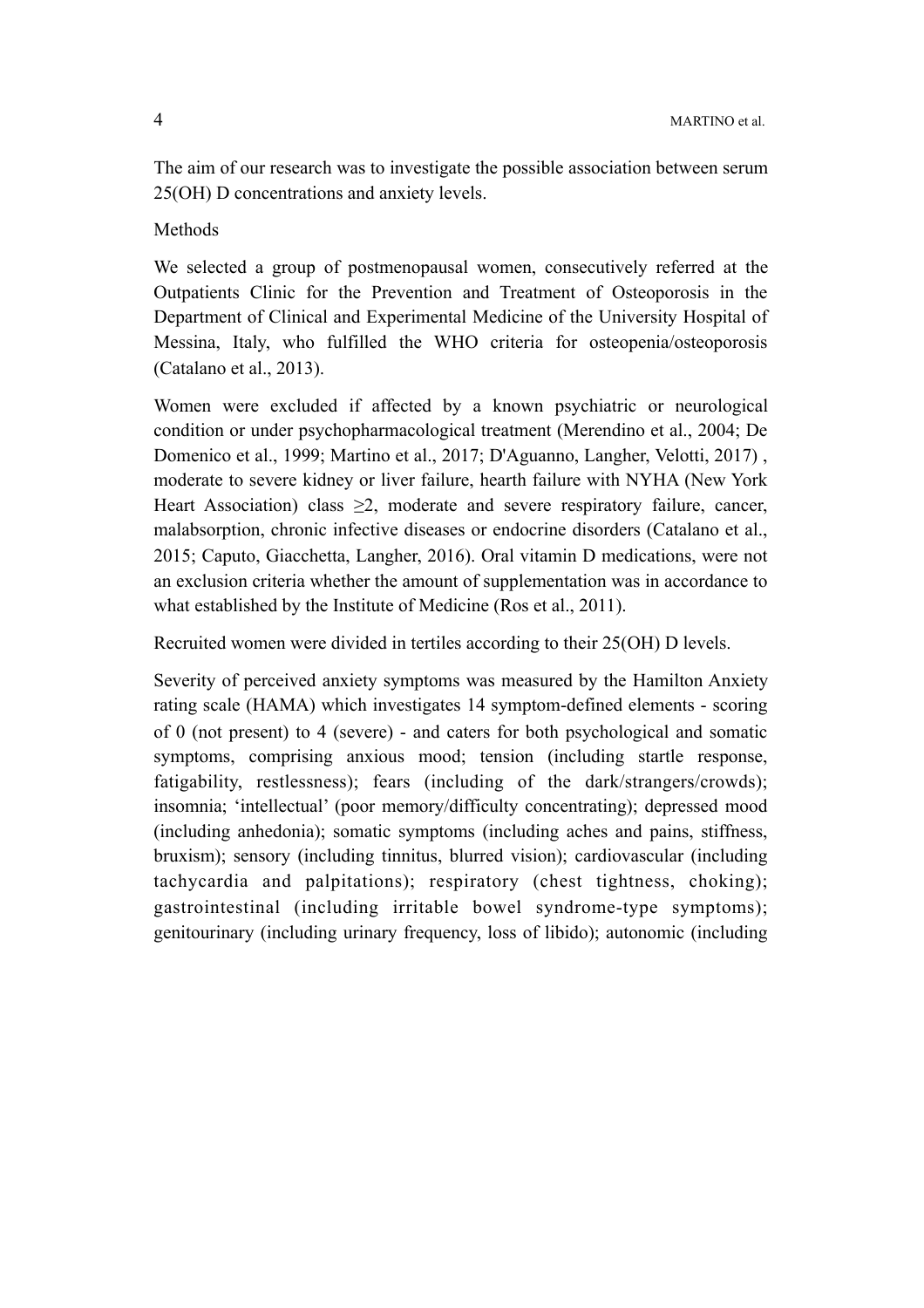The aim of our research was to investigate the possible association between serum 25(OH) D concentrations and anxiety levels.

Methods

We selected a group of postmenopausal women, consecutively referred at the Outpatients Clinic for the Prevention and Treatment of Osteoporosis in the Department of Clinical and Experimental Medicine of the University Hospital of Messina, Italy, who fulfilled the WHO criteria for osteopenia/osteoporosis (Catalano et al., 2013).

Women were excluded if affected by a known psychiatric or neurological condition or under psychopharmacological treatment (Merendino et al., 2004; De Domenico et al., 1999; Martino et al., 2017; D'Aguanno, Langher, Velotti, 2017) , moderate to severe kidney or liver failure, hearth failure with NYHA (New York Heart Association) class  $\geq 2$ , moderate and severe respiratory failure, cancer, malabsorption, chronic infective diseases or endocrine disorders (Catalano et al., 2015; Caputo, Giacchetta, Langher, 2016). Oral vitamin D medications, were not an exclusion criteria whether the amount of supplementation was in accordance to what established by the Institute of Medicine (Ros et al., 2011).

Recruited women were divided in tertiles according to their 25(OH) D levels.

Severity of perceived anxiety symptoms was measured by the Hamilton Anxiety rating scale (HAMA) which investigates 14 symptom-defined elements - scoring of 0 (not present) to 4 (severe) - and caters for both psychological and somatic symptoms, comprising anxious mood; tension (including startle response, fatigability, restlessness); fears (including of the dark/strangers/crowds); insomnia; 'intellectual' (poor memory/difficulty concentrating); depressed mood (including anhedonia); somatic symptoms (including aches and pains, stiffness, bruxism); sensory (including tinnitus, blurred vision); cardiovascular (including tachycardia and palpitations); respiratory (chest tightness, choking); gastrointestinal (including irritable bowel syndrome-type symptoms); genitourinary (including urinary frequency, loss of libido); autonomic (including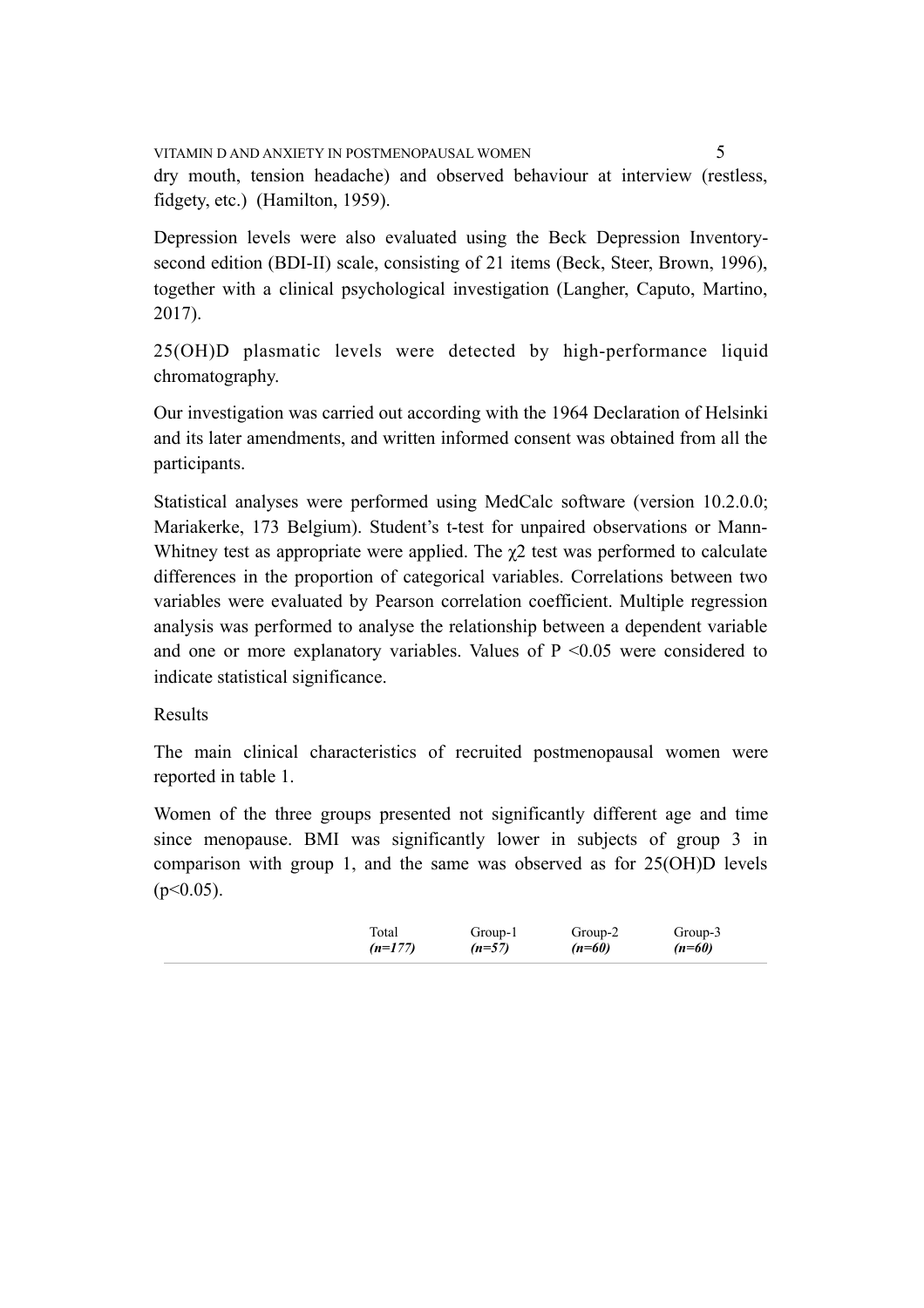VITAMIN D AND ANXIETY IN POSTMENOPAUSAL WOMEN 5 dry mouth, tension headache) and observed behaviour at interview (restless, fidgety, etc.) (Hamilton, 1959).

Depression levels were also evaluated using the Beck Depression Inventorysecond edition (BDI-II) scale, consisting of 21 items (Beck, Steer, Brown, 1996), together with a clinical psychological investigation (Langher, Caputo, Martino, 2017).

25(OH)D plasmatic levels were detected by high-performance liquid chromatography.

Our investigation was carried out according with the 1964 Declaration of Helsinki and its later amendments, and written informed consent was obtained from all the participants.

Statistical analyses were performed using MedCalc software (version 10.2.0.0; Mariakerke, 173 Belgium). Student's t-test for unpaired observations or Mann-Whitney test as appropriate were applied. The  $\chi$ 2 test was performed to calculate differences in the proportion of categorical variables. Correlations between two variables were evaluated by Pearson correlation coefficient. Multiple regression analysis was performed to analyse the relationship between a dependent variable and one or more explanatory variables. Values of  $P \le 0.05$  were considered to indicate statistical significance.

# Results

The main clinical characteristics of recruited postmenopausal women were reported in table 1.

Women of the three groups presented not significantly different age and time since menopause. BMI was significantly lower in subjects of group 3 in comparison with group 1, and the same was observed as for 25(OH)D levels  $(p<0.05)$ .

| Total     | Group-1  | Group-2  | Group-3  |
|-----------|----------|----------|----------|
| $(n=177)$ | $(n=57)$ | $(n=60)$ | $(n=60)$ |
|           |          |          |          |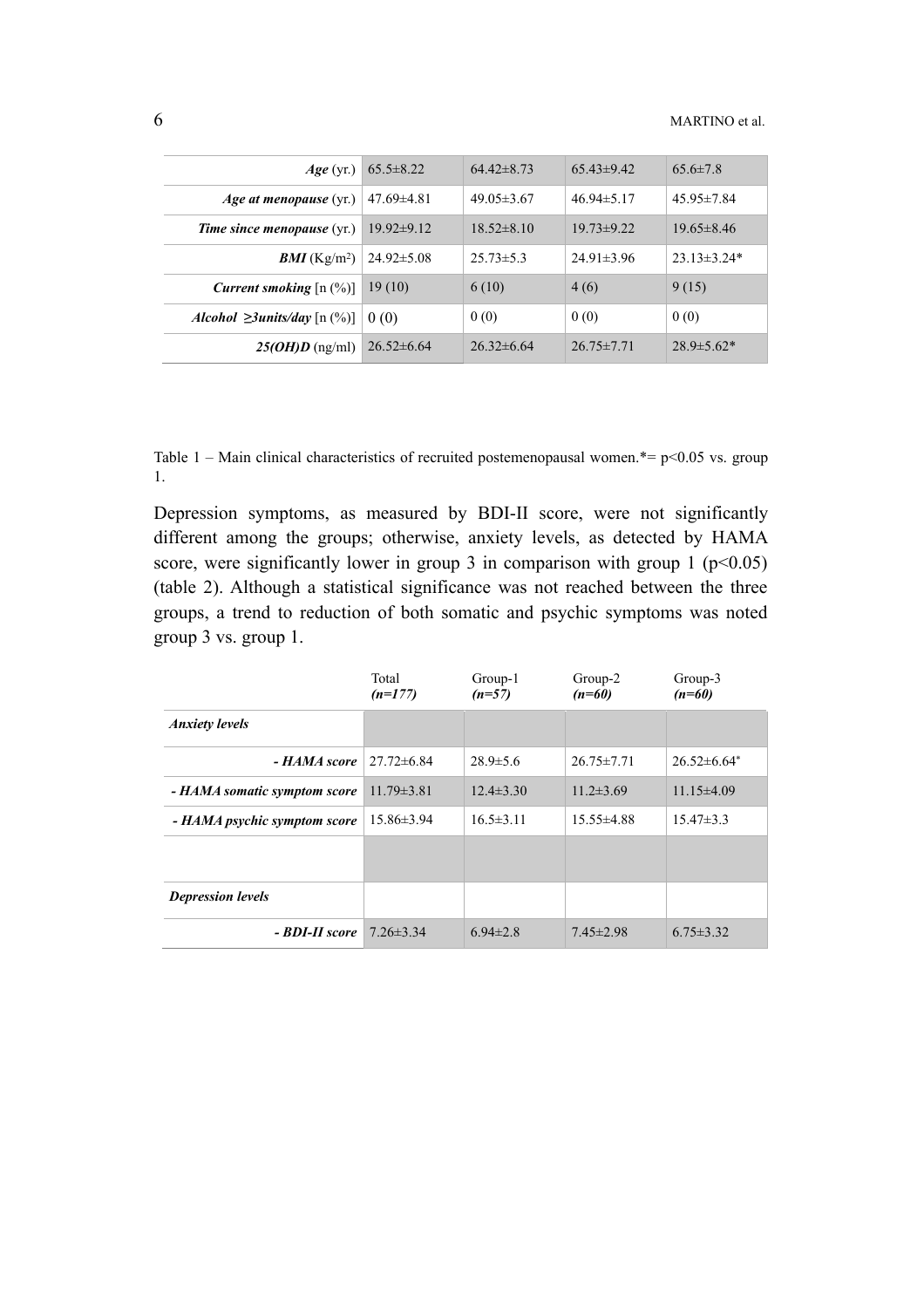| $Age$ (yr.)                                          | $65.5 \pm 8.22$  | $64.42\pm8.73$   | $65.43\pm9.42$   | $65.6\pm7.8$      |
|------------------------------------------------------|------------------|------------------|------------------|-------------------|
| <i>Age at menopause</i> $(yr)$                       | $47.69\pm4.81$   | $49.05\pm3.67$   | $46.94\pm5.17$   | $45.95 \pm 7.84$  |
| <b>Time since menopause</b> (yr.)                    | $19.92\pm9.12$   | $18.52 \pm 8.10$ | $19.73 \pm 9.22$ | $19.65 \pm 8.46$  |
| <b>BMI</b> (Kg/m <sup>2</sup> )                      | $24.92 \pm 5.08$ | $25.73 \pm 5.3$  | $24.91 \pm 3.96$ | $23.13 \pm 3.24*$ |
| <b>Current smoking</b> $[n (%)]$                     | 19(10)           | 6(10)            | 4(6)             | 9(15)             |
| <i>Alcohol</i> $\geq$ 3 <i>units/day</i> [n $(\%)$ ] | 0(0)             | 0(0)             | 0(0)             | 0(0)              |
| $25(OH)D$ (ng/ml)                                    | $26.52\pm 6.64$  | $26.32\pm 6.64$  | $26.75 \pm 7.71$ | $28.9 \pm 5.62*$  |

Table 1 – Main clinical characteristics of recruited postemenopausal women.\*=  $p$  < 0.05 vs. group 1.

Depression symptoms, as measured by BDI-II score, were not significantly different among the groups; otherwise, anxiety levels, as detected by HAMA score, were significantly lower in group 3 in comparison with group 1 ( $p$  < 0.05) (table 2). Although a statistical significance was not reached between the three groups, a trend to reduction of both somatic and psychic symptoms was noted group 3 vs. group 1.

|                              | Total<br>$(n=177)$ | Group-1<br>$(n=57)$ | Group-2<br>$(n=60)$ | Group-3<br>$(n=60)$ |
|------------------------------|--------------------|---------------------|---------------------|---------------------|
| <b>Anxiety levels</b>        |                    |                     |                     |                     |
| - HAMA score                 | $27.72\pm 6.84$    | $28.9 \pm 5.6$      | $26.75 \pm 7.71$    | $26.52\pm 6.64*$    |
| - HAMA somatic symptom score | $11.79 \pm 3.81$   | $12.4 \pm 3.30$     | $11.2 \pm 3.69$     | $11.15\pm4.09$      |
| - HAMA psychic symptom score | $15.86\pm3.94$     | $16.5 \pm 3.11$     | $15.55 \pm 4.88$    | $15.47\pm3.3$       |
|                              |                    |                     |                     |                     |
| <b>Depression levels</b>     |                    |                     |                     |                     |
| - BDI-II score               | $7.26 \pm 3.34$    | $6.94 \pm 2.8$      | $7.45 \pm 2.98$     | $6.75 \pm 3.32$     |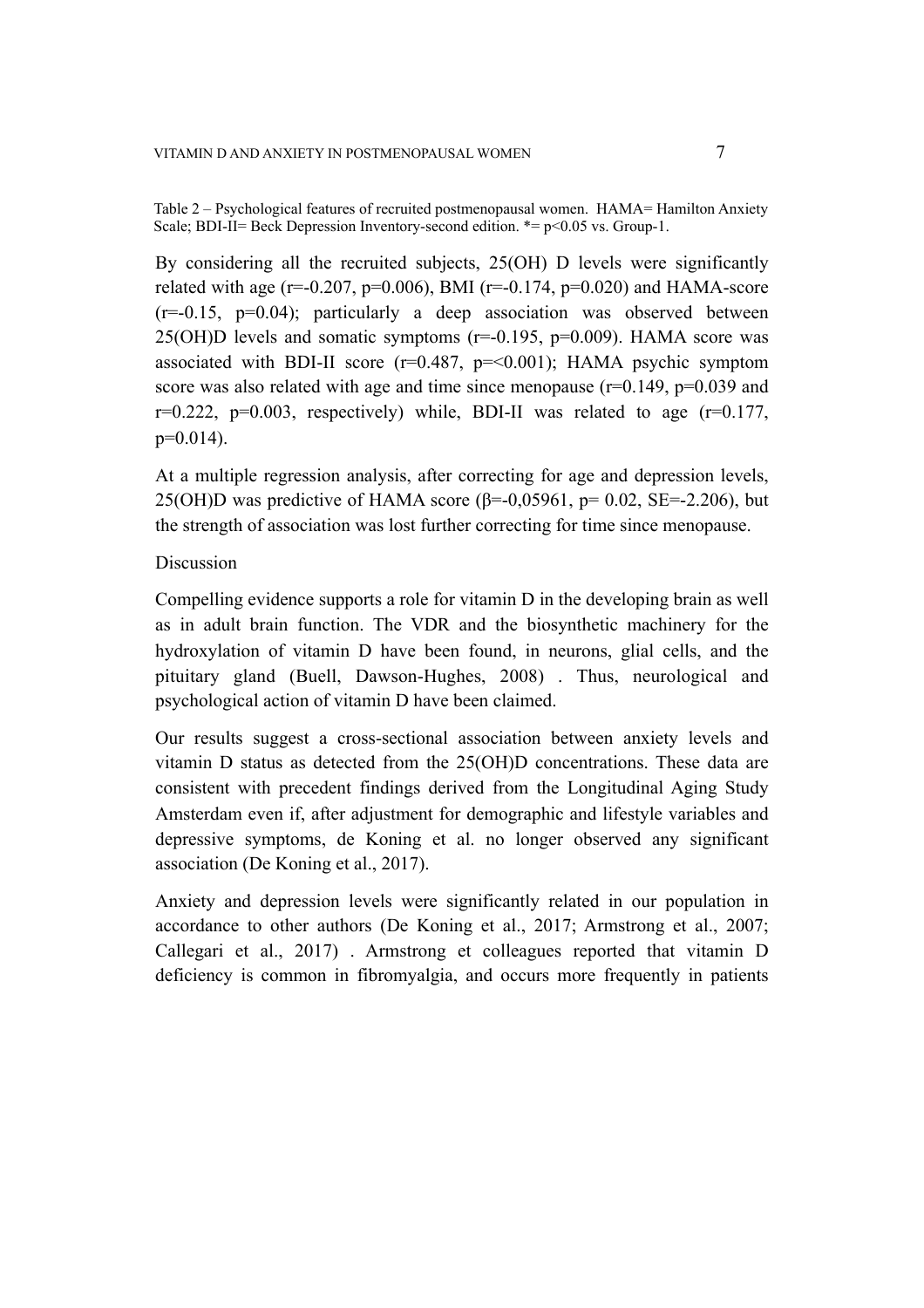Table 2 – Psychological features of recruited postmenopausal women. HAMA= Hamilton Anxiety Scale; BDI-II= Beck Depression Inventory-second edition.  $* = p < 0.05$  vs. Group-1.

By considering all the recruited subjects, 25(OH) D levels were significantly related with age (r=-0.207, p=0.006), BMI (r=-0.174, p=0.020) and HAMA-score  $(r=-0.15, p=0.04)$ ; particularly a deep association was observed between 25(OH)D levels and somatic symptoms  $(r=0.195, p=0.009)$ . HAMA score was associated with BDI-II score  $(r=0.487, p=<0.001)$ ; HAMA psychic symptom score was also related with age and time since menopause  $(r=0.149, p=0.039, q=0.039)$  $r=0.222$ ,  $p=0.003$ , respectively) while, BDI-II was related to age ( $r=0.177$ ,  $p=0.014$ ).

At a multiple regression analysis, after correcting for age and depression levels, 25(OH)D was predictive of HAMA score (β=-0,05961, p= 0.02, SE=-2.206), but the strength of association was lost further correcting for time since menopause.

### Discussion

Compelling evidence supports a role for vitamin D in the developing brain as well as in adult brain function. The VDR and the biosynthetic machinery for the hydroxylation of vitamin D have been found, in neurons, glial cells, and the pituitary gland (Buell, Dawson-Hughes, 2008) . Thus, neurological and psychological action of vitamin D have been claimed.

Our results suggest a cross-sectional association between anxiety levels and vitamin D status as detected from the 25(OH)D concentrations. These data are consistent with precedent findings derived from the Longitudinal Aging Study Amsterdam even if, after adjustment for demographic and lifestyle variables and depressive symptoms, de Koning et al. no longer observed any significant association (De Koning et al., 2017).

Anxiety and depression levels were significantly related in our population in accordance to other authors (De Koning et al., 2017; Armstrong et al., 2007; Callegari et al., 2017) . Armstrong et colleagues reported that vitamin D deficiency is common in fibromyalgia, and occurs more frequently in patients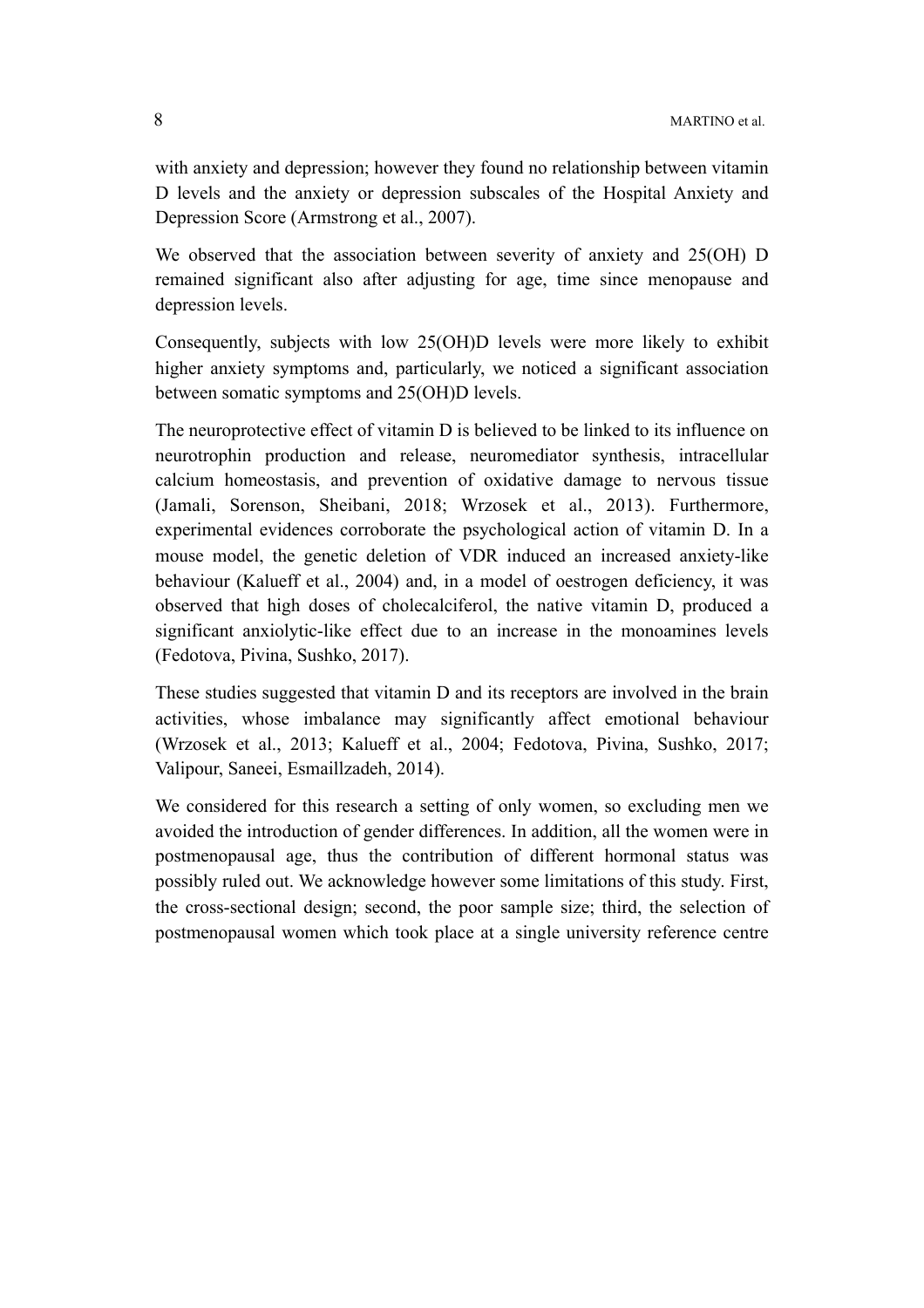with anxiety and depression; however they found no relationship between vitamin D levels and the anxiety or depression subscales of the Hospital Anxiety and Depression Score (Armstrong et al., 2007).

We observed that the association between severity of anxiety and 25(OH) D remained significant also after adjusting for age, time since menopause and depression levels.

Consequently, subjects with low 25(OH)D levels were more likely to exhibit higher anxiety symptoms and, particularly, we noticed a significant association between somatic symptoms and 25(OH)D levels.

The neuroprotective effect of vitamin D is believed to be linked to its influence on neurotrophin production and release, neuromediator synthesis, intracellular calcium homeostasis, and prevention of oxidative damage to nervous tissue (Jamali, Sorenson, Sheibani, 2018; Wrzosek et al., 2013). Furthermore, experimental evidences corroborate the psychological action of vitamin D. In a mouse model, the genetic deletion of VDR induced an increased anxiety-like behaviour (Kalueff et al., 2004) and, in a model of oestrogen deficiency, it was observed that high doses of cholecalciferol, the native vitamin D, produced a significant anxiolytic-like effect due to an increase in the monoamines levels (Fedotova, Pivina, Sushko, 2017).

These studies suggested that vitamin D and its receptors are involved in the brain activities, whose imbalance may significantly affect emotional behaviour (Wrzosek et al., 2013; Kalueff et al., 2004; Fedotova, Pivina, Sushko, 2017; Valipour, Saneei, Esmaillzadeh, 2014).

We considered for this research a setting of only women, so excluding men we avoided the introduction of gender differences. In addition, all the women were in postmenopausal age, thus the contribution of different hormonal status was possibly ruled out. We acknowledge however some limitations of this study. First, the cross-sectional design; second, the poor sample size; third, the selection of postmenopausal women which took place at a single university reference centre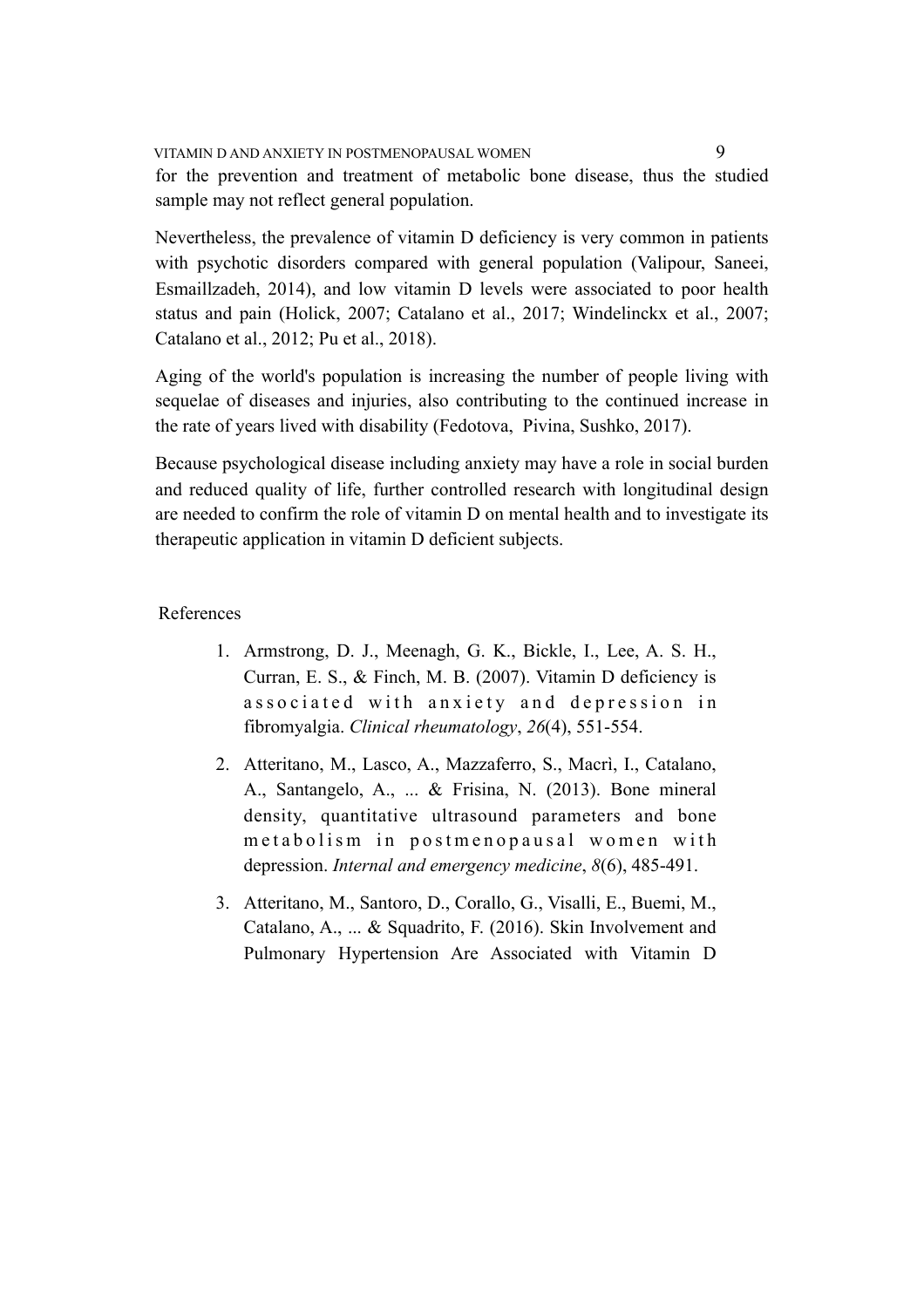VITAMIN D AND ANXIETY IN POSTMENOPAUSAL WOMEN 9 for the prevention and treatment of metabolic bone disease, thus the studied sample may not reflect general population.

Nevertheless, the prevalence of vitamin D deficiency is very common in patients with psychotic disorders compared with general population (Valipour, Saneei, Esmaillzadeh, 2014), and low vitamin D levels were associated to poor health status and pain (Holick, 2007; Catalano et al., 2017; Windelinckx et al., 2007; Catalano et al., 2012; Pu et al., 2018).

Aging of the world's population is increasing the number of people living with sequelae of diseases and injuries, also contributing to the continued increase in the rate of years lived with disability (Fedotova, Pivina, Sushko, 2017).

Because psychological disease including anxiety may have a role in social burden and reduced quality of life, further controlled research with longitudinal design are needed to confirm the role of vitamin D on mental health and to investigate its therapeutic application in vitamin D deficient subjects.

## References

- 1. Armstrong, D. J., Meenagh, G. K., Bickle, I., Lee, A. S. H., Curran, E. S., & Finch, M. B. (2007). Vitamin D deficiency is associated with anxiety and depression in fibromyalgia. *Clinical rheumatology*, *26*(4), 551-554.
- 2. Atteritano, M., Lasco, A., Mazzaferro, S., Macrì, I., Catalano, A., Santangelo, A., ... & Frisina, N. (2013). Bone mineral density, quantitative ultrasound parameters and bone metabolism in postmenopausal women with depression. *Internal and emergency medicine*, *8*(6), 485-491.
- 3. Atteritano, M., Santoro, D., Corallo, G., Visalli, E., Buemi, M., Catalano, A., ... & Squadrito, F. (2016). Skin Involvement and Pulmonary Hypertension Are Associated with Vitamin D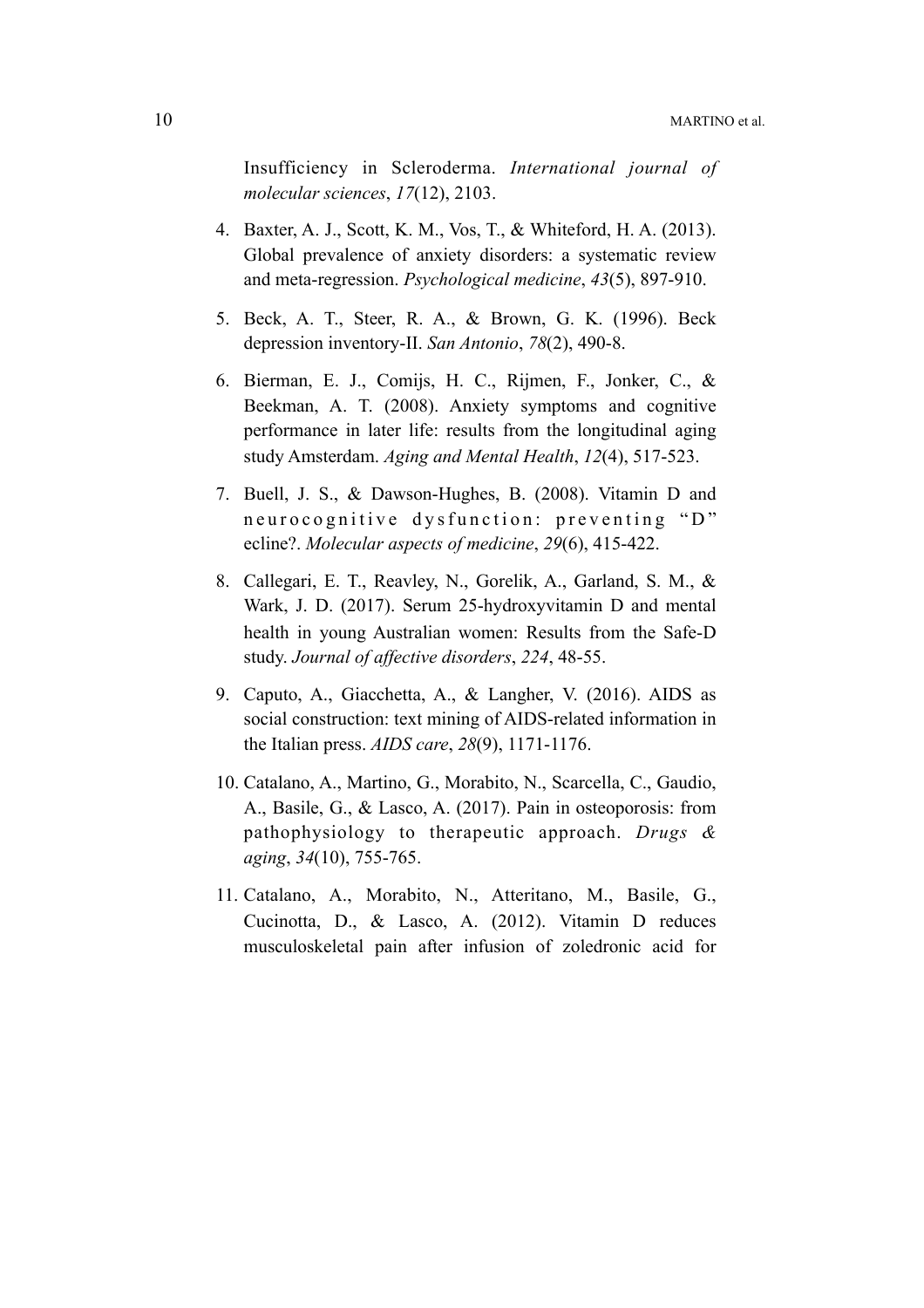Insufficiency in Scleroderma. *International journal of molecular sciences*, *17*(12), 2103.

- 4. Baxter, A. J., Scott, K. M., Vos, T., & Whiteford, H. A. (2013). Global prevalence of anxiety disorders: a systematic review and meta-regression. *Psychological medicine*, *43*(5), 897-910.
- 5. Beck, A. T., Steer, R. A., & Brown, G. K. (1996). Beck depression inventory-II. *San Antonio*, *78*(2), 490-8.
- 6. Bierman, E. J., Comijs, H. C., Rijmen, F., Jonker, C., & Beekman, A. T. (2008). Anxiety symptoms and cognitive performance in later life: results from the longitudinal aging study Amsterdam. *Aging and Mental Health*, *12*(4), 517-523.
- 7. Buell, J. S., & Dawson-Hughes, B. (2008). Vitamin D and neurocognitive dysfunction: preventing "D" ecline?. *Molecular aspects of medicine*, *29*(6), 415-422.
- 8. Callegari, E. T., Reavley, N., Gorelik, A., Garland, S. M., & Wark, J. D. (2017). Serum 25-hydroxyvitamin D and mental health in young Australian women: Results from the Safe-D study. *Journal of affective disorders*, *224*, 48-55.
- 9. Caputo, A., Giacchetta, A., & Langher, V. (2016). AIDS as social construction: text mining of AIDS-related information in the Italian press. *AIDS care*, *28*(9), 1171-1176.
- 10. Catalano, A., Martino, G., Morabito, N., Scarcella, C., Gaudio, A., Basile, G., & Lasco, A. (2017). Pain in osteoporosis: from pathophysiology to therapeutic approach. *Drugs & aging*, *34*(10), 755-765.
- 11. Catalano, A., Morabito, N., Atteritano, M., Basile, G., Cucinotta, D., & Lasco, A. (2012). Vitamin D reduces musculoskeletal pain after infusion of zoledronic acid for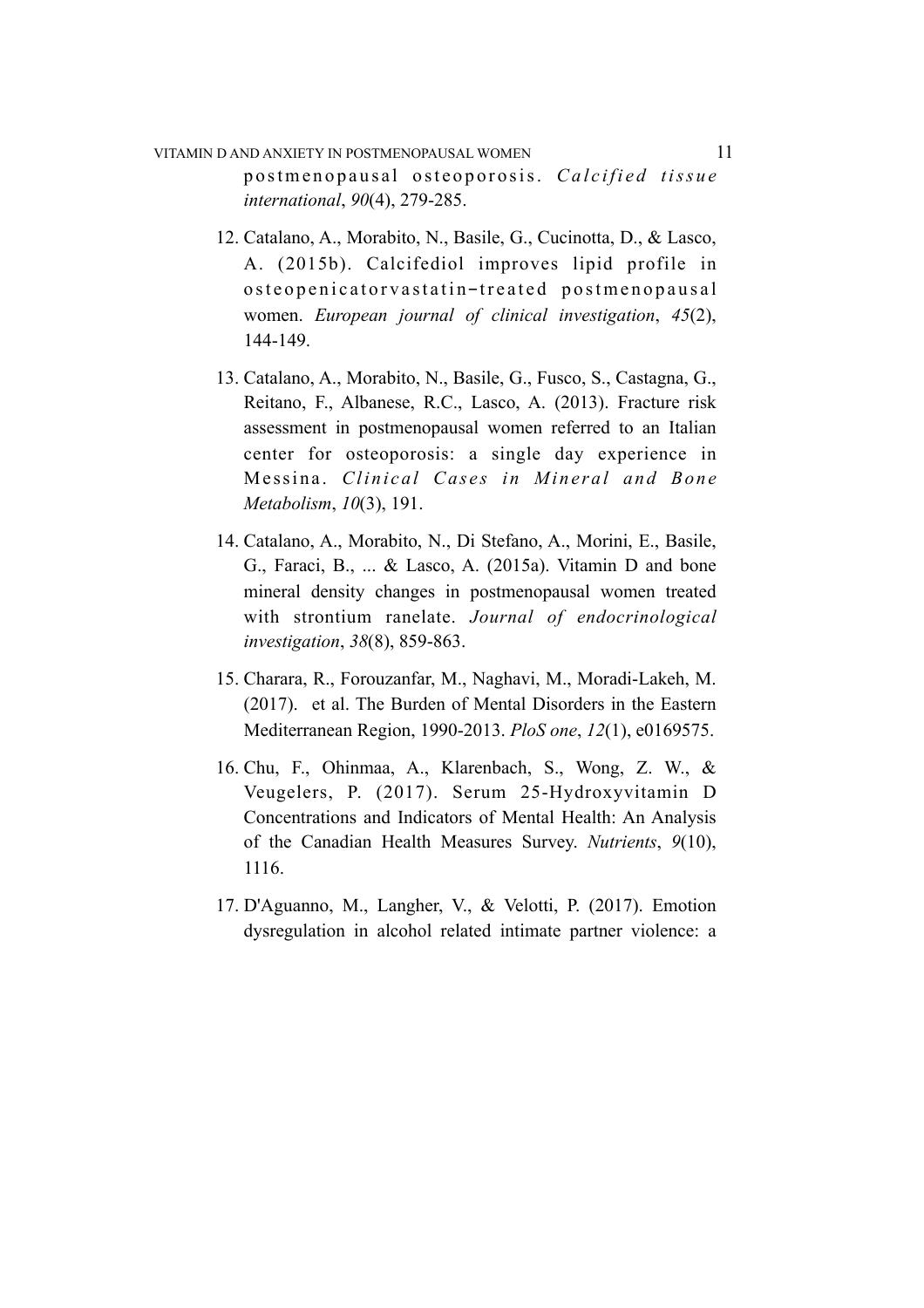# VITAMIN D AND ANXIETY IN POSTMENOPAUSAL WOMEN 11 postmenopausal osteoporosis. Calcified tissue *international*, *90*(4), 279-285.

- 12. Catalano, A., Morabito, N., Basile, G., Cucinotta, D., & Lasco, A. (2015b). Calcifediol improves lipid profile in osteopenicatorvastatin-treated postmenopausal women. *European journal of clinical investigation*, *45*(2), 144-149.
- 13. Catalano, A., Morabito, N., Basile, G., Fusco, S., Castagna, G., Reitano, F., Albanese, R.C., Lasco, A. (2013). Fracture risk assessment in postmenopausal women referred to an Italian center for osteoporosis: a single day experience in Messina. *Clinical Cases in Mineral and Bone Metabolism*, *10*(3), 191.
- 14. Catalano, A., Morabito, N., Di Stefano, A., Morini, E., Basile, G., Faraci, B., ... & Lasco, A. (2015a). Vitamin D and bone mineral density changes in postmenopausal women treated with strontium ranelate. *Journal of endocrinological investigation*, *38*(8), 859-863.
- 15. Charara, R., Forouzanfar, M., Naghavi, M., Moradi-Lakeh, M. (2017). et al. The Burden of Mental Disorders in the Eastern Mediterranean Region, 1990-2013. *PloS one*, *12*(1), e0169575.
- 16. Chu, F., Ohinmaa, A., Klarenbach, S., Wong, Z. W., & Veugelers, P. (2017). Serum 25-Hydroxyvitamin D Concentrations and Indicators of Mental Health: An Analysis of the Canadian Health Measures Survey. *Nutrients*, *9*(10), 1116.
- 17. D'Aguanno, M., Langher, V., & Velotti, P. (2017). Emotion dysregulation in alcohol related intimate partner violence: a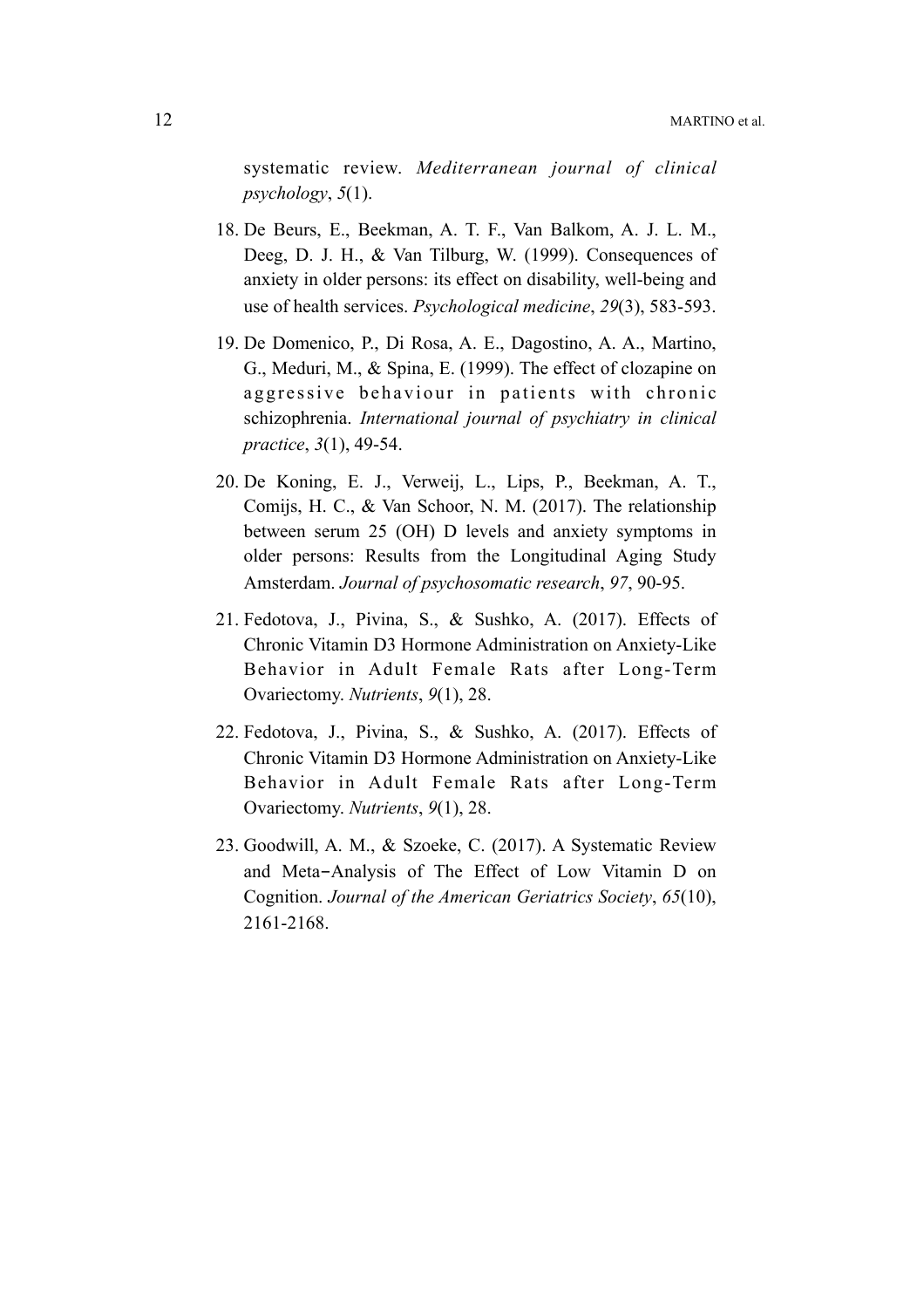systematic review. *Mediterranean journal of clinical psychology*, *5*(1).

- 18. De Beurs, E., Beekman, A. T. F., Van Balkom, A. J. L. M., Deeg, D. J. H., & Van Tilburg, W. (1999). Consequences of anxiety in older persons: its effect on disability, well-being and use of health services. *Psychological medicine*, *29*(3), 583-593.
- 19. De Domenico, P., Di Rosa, A. E., Dagostino, A. A., Martino, G., Meduri, M., & Spina, E. (1999). The effect of clozapine on aggressive behaviour in patients with chronic schizophrenia. *International journal of psychiatry in clinical practice*, *3*(1), 49-54.
- 20. De Koning, E. J., Verweij, L., Lips, P., Beekman, A. T., Comijs, H. C., & Van Schoor, N. M. (2017). The relationship between serum 25 (OH) D levels and anxiety symptoms in older persons: Results from the Longitudinal Aging Study Amsterdam. *Journal of psychosomatic research*, *97*, 90-95.
- 21. Fedotova, J., Pivina, S., & Sushko, A. (2017). Effects of Chronic Vitamin D3 Hormone Administration on Anxiety-Like Behavior in Adult Female Rats after Long-Term Ovariectomy. *Nutrients*, *9*(1), 28.
- 22. Fedotova, J., Pivina, S., & Sushko, A. (2017). Effects of Chronic Vitamin D3 Hormone Administration on Anxiety-Like Behavior in Adult Female Rats after Long-Term Ovariectomy. *Nutrients*, *9*(1), 28.
- 23. Goodwill, A. M., & Szoeke, C. (2017). A Systematic Review and Meta-Analysis of The Effect of Low Vitamin D on Cognition. *Journal of the American Geriatrics Society*, *65*(10), 2161-2168.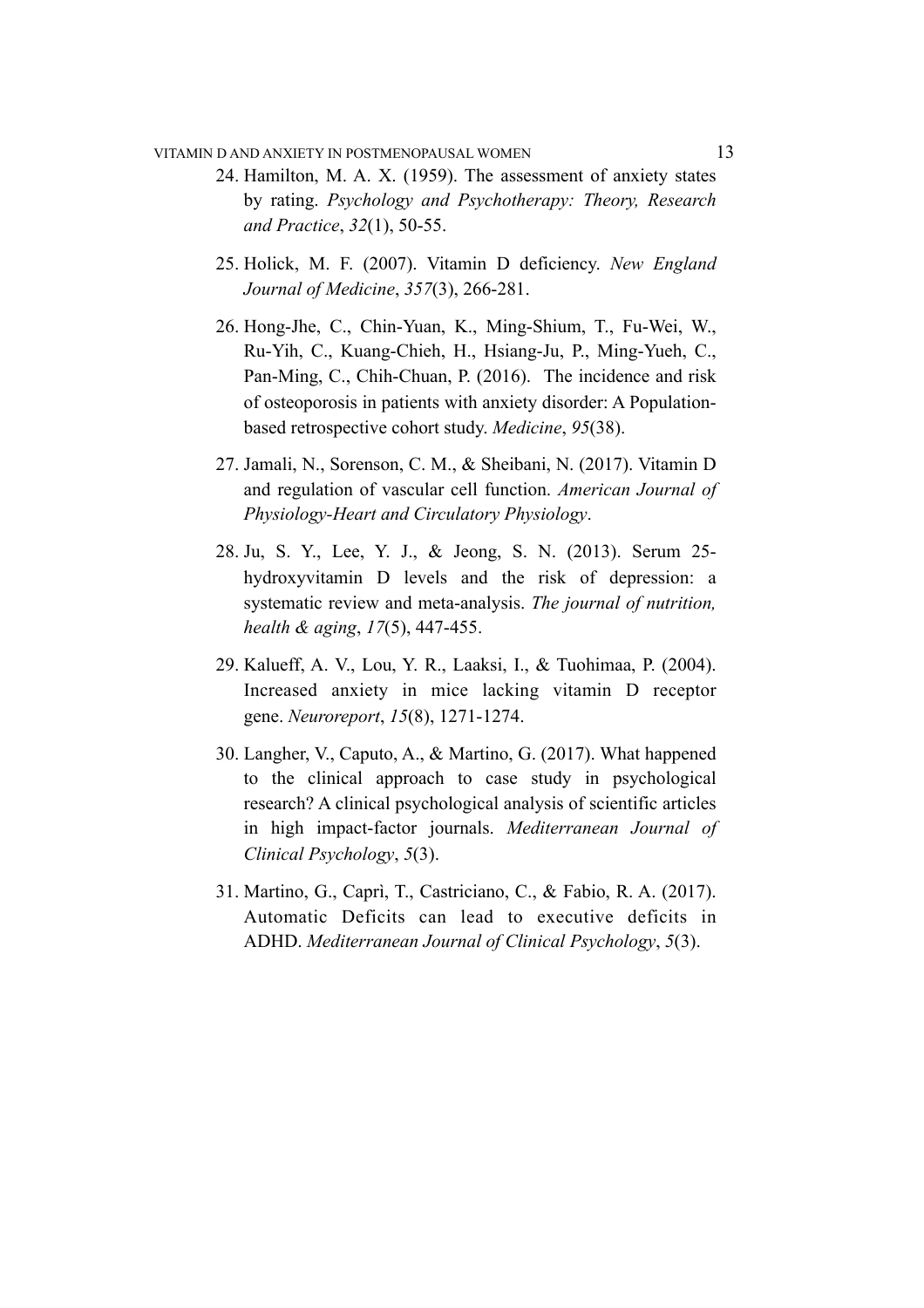### VITAMIN D AND ANXIETY IN POSTMENOPAUSAL WOMEN 13

- 24. Hamilton, M. A. X. (1959). The assessment of anxiety states by rating. *Psychology and Psychotherapy: Theory, Research and Practice*, *32*(1), 50-55.
- 25. Holick, M. F. (2007). Vitamin D deficiency. *New England Journal of Medicine*, *357*(3), 266-281.
- 26. Hong-Jhe, C., Chin-Yuan, K., Ming-Shium, T., Fu-Wei, W., Ru-Yih, C., Kuang-Chieh, H., Hsiang-Ju, P., Ming-Yueh, C., Pan-Ming, C., Chih-Chuan, P. (2016). The incidence and risk of osteoporosis in patients with anxiety disorder: A Populationbased retrospective cohort study. *Medicine*, *95*(38).
- 27. Jamali, N., Sorenson, C. M., & Sheibani, N. (2017). Vitamin D and regulation of vascular cell function. *American Journal of Physiology-Heart and Circulatory Physiology*.
- 28. Ju, S. Y., Lee, Y. J., & Jeong, S. N. (2013). Serum 25 hydroxyvitamin D levels and the risk of depression: a systematic review and meta-analysis. *The journal of nutrition, health & aging*, *17*(5), 447-455.
- 29. Kalueff, A. V., Lou, Y. R., Laaksi, I., & Tuohimaa, P. (2004). Increased anxiety in mice lacking vitamin D receptor gene. *Neuroreport*, *15*(8), 1271-1274.
- 30. Langher, V., Caputo, A., & Martino, G. (2017). What happened to the clinical approach to case study in psychological research? A clinical psychological analysis of scientific articles in high impact-factor journals. *Mediterranean Journal of Clinical Psychology*, *5*(3).
- 31. Martino, G., Caprì, T., Castriciano, C., & Fabio, R. A. (2017). Automatic Deficits can lead to executive deficits in ADHD. *Mediterranean Journal of Clinical Psychology*, *5*(3).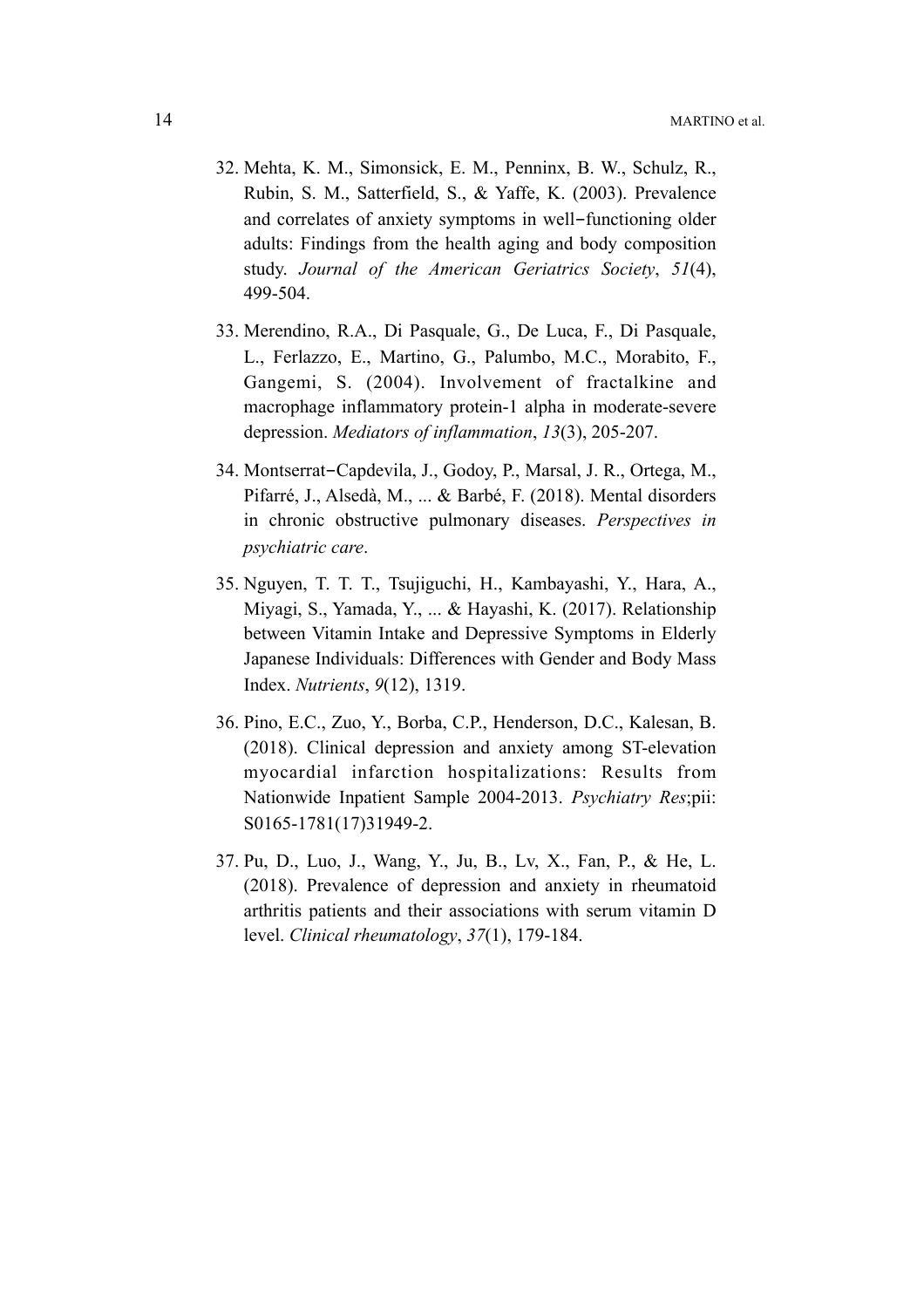- 32. Mehta, K. M., Simonsick, E. M., Penninx, B. W., Schulz, R., Rubin, S. M., Satterfield, S., & Yaffe, K. (2003). Prevalence and correlates of anxiety symptoms in well-functioning older adults: Findings from the health aging and body composition study. *Journal of the American Geriatrics Society*, *51*(4), 499-504.
- 33. Merendino, R.A., Di Pasquale, G., De Luca, F., Di Pasquale, L., Ferlazzo, E., Martino, G., Palumbo, M.C., Morabito, F., Gangemi, S. (2004). Involvement of fractalkine and macrophage inflammatory protein-1 alpha in moderate-severe depression. *Mediators of inflammation*, *13*(3), 205-207.
- 34. Montserrat-Capdevila, J., Godoy, P., Marsal, J. R., Ortega, M., Pifarré, J., Alsedà, M., ... & Barbé, F. (2018). Mental disorders in chronic obstructive pulmonary diseases. *Perspectives in psychiatric care*.
- 35. Nguyen, T. T. T., Tsujiguchi, H., Kambayashi, Y., Hara, A., Miyagi, S., Yamada, Y., ... & Hayashi, K. (2017). Relationship between Vitamin Intake and Depressive Symptoms in Elderly Japanese Individuals: Differences with Gender and Body Mass Index. *Nutrients*, *9*(12), 1319.
- 36. Pino, E.C., Zuo, Y., Borba, C.P., Henderson, D.C., Kalesan, B. (2018). Clinical depression and anxiety among ST-elevation myocardial infarction hospitalizations: Results from Nationwide Inpatient Sample 2004-2013. *Psychiatry Res*;pii: S0165-1781(17)31949-2.
- 37. Pu, D., Luo, J., Wang, Y., Ju, B., Lv, X., Fan, P., & He, L. (2018). Prevalence of depression and anxiety in rheumatoid arthritis patients and their associations with serum vitamin D level. *Clinical rheumatology*, *37*(1), 179-184.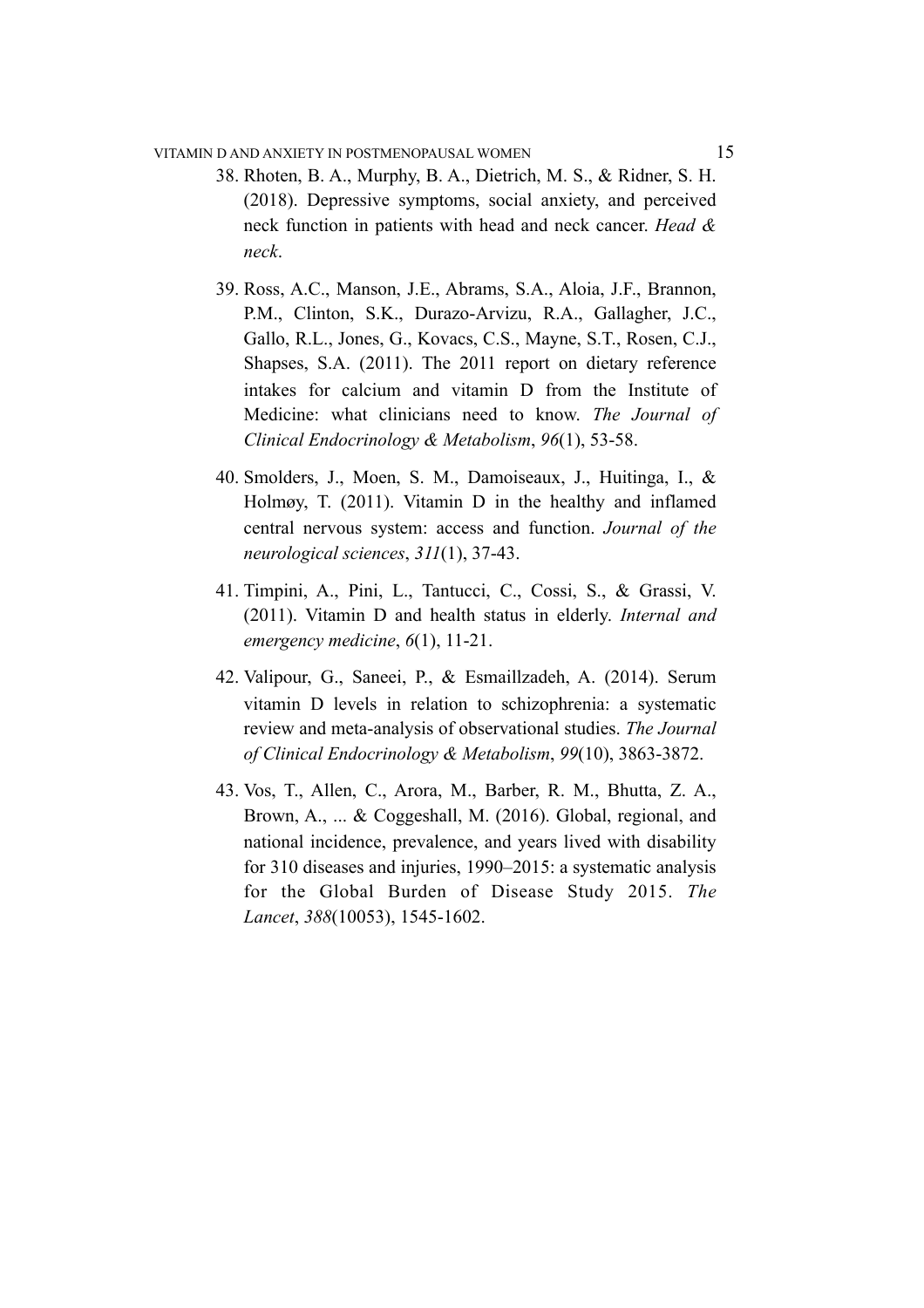### VITAMIN D AND ANXIETY IN POSTMENOPAUSAL WOMEN 15

- 38. Rhoten, B. A., Murphy, B. A., Dietrich, M. S., & Ridner, S. H. (2018). Depressive symptoms, social anxiety, and perceived neck function in patients with head and neck cancer. *Head & neck*.
- 39. Ross, A.C., Manson, J.E., Abrams, S.A., Aloia, J.F., Brannon, P.M., Clinton, S.K., Durazo-Arvizu, R.A., Gallagher, J.C., Gallo, R.L., Jones, G., Kovacs, C.S., Mayne, S.T., Rosen, C.J., Shapses, S.A. (2011). The 2011 report on dietary reference intakes for calcium and vitamin D from the Institute of Medicine: what clinicians need to know. *The Journal of Clinical Endocrinology & Metabolism*, *96*(1), 53-58.
- 40. Smolders, J., Moen, S. M., Damoiseaux, J., Huitinga, I., & Holmøy, T. (2011). Vitamin D in the healthy and inflamed central nervous system: access and function. *Journal of the neurological sciences*, *311*(1), 37-43.
- 41. Timpini, A., Pini, L., Tantucci, C., Cossi, S., & Grassi, V. (2011). Vitamin D and health status in elderly. *Internal and emergency medicine*, *6*(1), 11-21.
- 42. Valipour, G., Saneei, P., & Esmaillzadeh, A. (2014). Serum vitamin D levels in relation to schizophrenia: a systematic review and meta-analysis of observational studies. *The Journal of Clinical Endocrinology & Metabolism*, *99*(10), 3863-3872.
- 43. Vos, T., Allen, C., Arora, M., Barber, R. M., Bhutta, Z. A., Brown, A., ... & Coggeshall, M. (2016). Global, regional, and national incidence, prevalence, and years lived with disability for 310 diseases and injuries, 1990–2015: a systematic analysis for the Global Burden of Disease Study 2015. *The Lancet*, *388*(10053), 1545-1602.